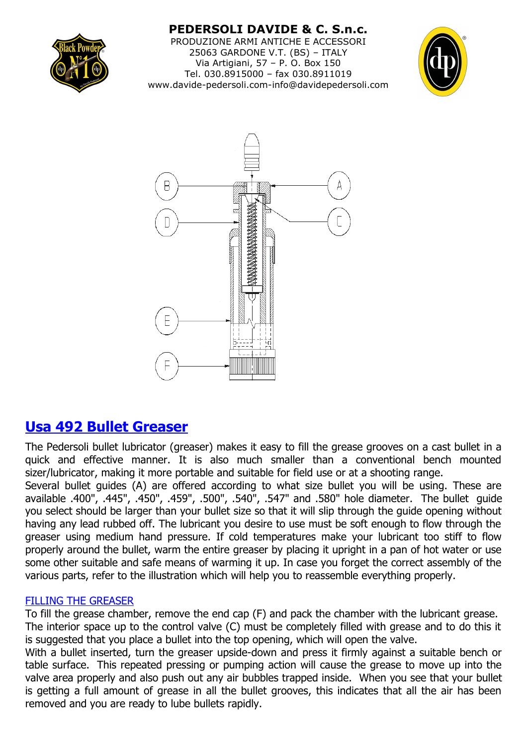

**PEDERSOLI DAVIDE & C. S.n.c.** PRODUZIONE ARMI ANTICHE E ACCESSORI 25063 GARDONE V.T. (BS) – ITALY Via Artigiani, 57 – P. O. Box 150 Tel. 030.8915000 – fax 030.8911019 www.davide-pedersoli.com-info@davidepedersoli.com





# **Usa 492 Bullet Greaser**

The Pedersoli bullet lubricator (greaser) makes it easy to fill the grease grooves on a cast bullet in a quick and effective manner. It is also much smaller than a conventional bench mounted sizer/lubricator, making it more portable and suitable for field use or at a shooting range.

Several bullet guides (A) are offered according to what size bullet you will be using. These are available .400", .445", .450", .459", .500", .540", .547" and .580" hole diameter. The bullet guide you select should be larger than your bullet size so that it will slip through the guide opening without having any lead rubbed off. The lubricant you desire to use must be soft enough to flow through the greaser using medium hand pressure. If cold temperatures make your lubricant too stiff to flow properly around the bullet, warm the entire greaser by placing it upright in a pan of hot water or use some other suitable and safe means of warming it up. In case you forget the correct assembly of the various parts, refer to the illustration which will help you to reassemble everything properly.

# FILLING THE GREASER

To fill the grease chamber, remove the end cap (F) and pack the chamber with the lubricant grease. The interior space up to the control valve (C) must be completely filled with grease and to do this it is suggested that you place a bullet into the top opening, which will open the valve.

With a bullet inserted, turn the greaser upside-down and press it firmly against a suitable bench or table surface. This repeated pressing or pumping action will cause the grease to move up into the valve area properly and also push out any air bubbles trapped inside. When you see that your bullet is getting a full amount of grease in all the bullet grooves, this indicates that all the air has been removed and you are ready to lube bullets rapidly.